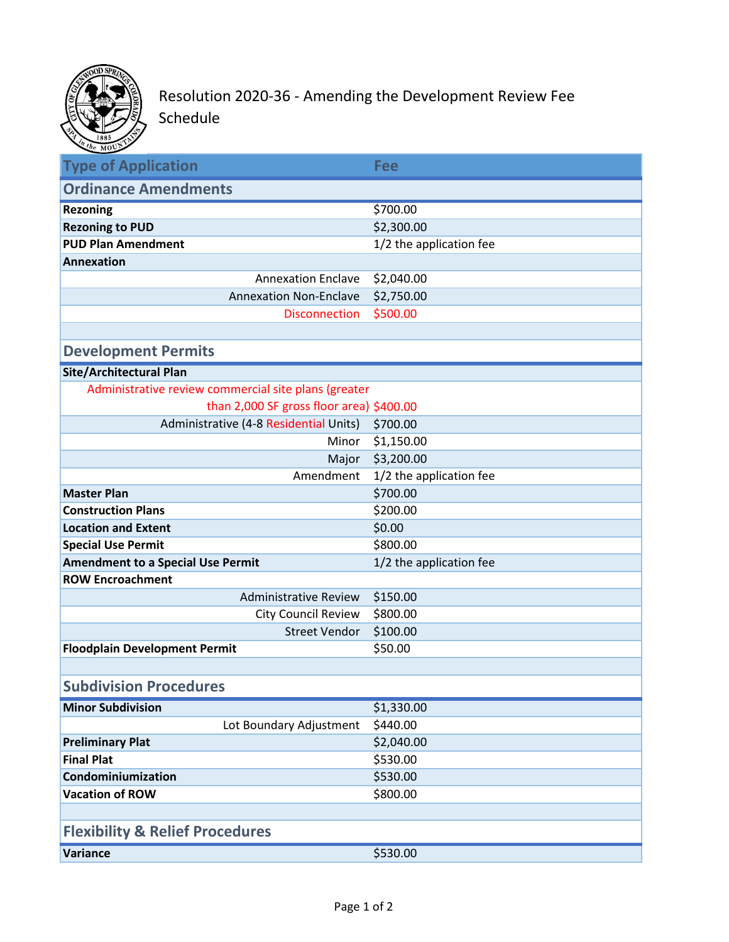

## Resolution 2020-36 - Amending the Development Review Fee

Schedule

| <b>Type of Application</b>                           | <b>Fee</b>              |
|------------------------------------------------------|-------------------------|
| <b>Ordinance Amendments</b>                          |                         |
| <b>Rezoning</b>                                      | \$700.00                |
| <b>Rezoning to PUD</b>                               | \$2,300.00              |
| <b>PUD Plan Amendment</b>                            | 1/2 the application fee |
| <b>Annexation</b>                                    |                         |
| <b>Annexation Enclave</b>                            | \$2,040.00              |
| <b>Annexation Non-Enclave</b>                        | \$2,750.00              |
| <b>Disconnection</b>                                 | \$500.00                |
|                                                      |                         |
| <b>Development Permits</b>                           |                         |
| Site/Architectural Plan                              |                         |
| Administrative review commercial site plans (greater |                         |
| than 2,000 SF gross floor area) \$400.00             |                         |
| Administrative (4-8 Residential Units)               | \$700.00                |
| Minor                                                | \$1,150.00              |
| Major                                                | \$3,200.00              |
| Amendment                                            | 1/2 the application fee |
| <b>Master Plan</b>                                   | \$700.00                |
| <b>Construction Plans</b>                            | \$200.00                |
| <b>Location and Extent</b>                           | \$0.00                  |
| <b>Special Use Permit</b>                            | \$800.00                |
| <b>Amendment to a Special Use Permit</b>             | 1/2 the application fee |
| <b>ROW Encroachment</b>                              |                         |
| <b>Administrative Review</b>                         | \$150.00                |
| <b>City Council Review</b>                           | \$800.00                |
| <b>Street Vendor</b>                                 | \$100.00                |
| <b>Floodplain Development Permit</b>                 | \$50.00                 |
|                                                      |                         |
| <b>Subdivision Procedures</b>                        |                         |
| <b>Minor Subdivision</b>                             | \$1,330.00              |
| Lot Boundary Adjustment                              | \$440.00                |
| <b>Preliminary Plat</b>                              | \$2,040.00              |
| <b>Final Plat</b>                                    | \$530.00                |
| Condominiumization                                   | \$530.00                |
| <b>Vacation of ROW</b>                               | \$800.00                |
|                                                      |                         |
| <b>Flexibility &amp; Relief Procedures</b>           |                         |
| Variance                                             | \$530.00                |